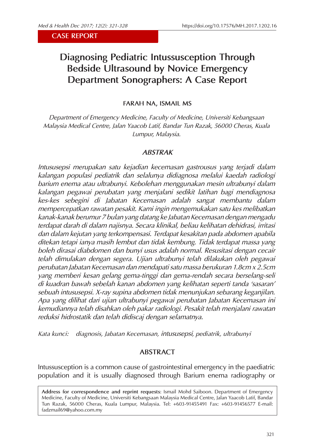#### **CASE REPORT**

# **Diagnosing Pediatric Intussusception Through Bedside Ultrasound by Novice Emergency Department Sonographers: A Case Report**

## **FARAH NA, ISMAIL MS**

*Department of Emergency Medicine, Faculty of Medicine, Universiti Kebangsaan Malaysia Medical Centre, Jalan Yaacob Latif, Bandar Tun Razak, 56000 Cheras, Kuala Lumpur, Malaysia.* 

## *ABSTRAK*

*Intususepsi merupakan satu kejadian kecemasan gastrousus yang terjadi dalam kalangan populasi pediatrik dan selalunya didiagnosa melalui kaedah radiologi barium enema atau ultrabunyi. Kebolehan menggunakan mesin ultrabunyi dalam kalangan pegawai perubatan yang menjalani sedikit latihan bagi mendiagnosa kes-kes sebegini di Jabatan Kecemasan adalah sangat membantu dalam mempercepatkan rawatan pesakit. Kami ingin mengemukakan satu kes melibatkan kanak-kanak berumur 7 bulan yang datang ke Jabatan Kecemasan dengan mengadu terdapat darah di dalam najisnya. Secara klinikal, beliau kelihatan dehidrasi, irritasi dan dalam kejutan yang terkompensasi. Terdapat kesakitan pada abdomen apabila ditekan tetapi ianya masih lembut dan tidak kembung. Tidak terdapat massa yang boleh dirasai diabdomen dan bunyi usus adalah normal. Resusitasi dengan cecair telah dimulakan dengan segera. Ujian ultrabunyi telah dilakukan oleh pegawai perubatan Jabatan Kecemasan dan mendapati satu massa berukuran 1.8cm x 2.5cm yang memberi kesan gelang gema-tinggi dan gema-rendah secara berselang-seli di kuadran bawah sebelah kanan abdomen yang kelihatan seperti tanda 'sasaran' sebuah intususepsi. X-ray supina abdomen tidak menunjukan sebarang keganjilan. Apa yang dilihat dari ujian ultrabunyi pegawai perubatan Jabatan Kecemasan ini kemudiannya telah disahkan oleh pakar radiologi. Pesakit telah menjalani rawatan reduksi hidrostatik dan telah didiscaj dengan selamatnya.* 

*Kata kunci: diagnosis, Jabatan Kecemasan, intususepsi, pediatrik, ultrabunyi*

# **ABSTRACT**

Intussusception is a common cause of gastrointestinal emergency in the paediatric population and it is usually diagnosed through Barium enema radiography or

**Address for correspondence and reprint requests**: Ismail Mohd Saiboon. Department of Emergency Medicine, Faculty of Medicine, Universiti Kebangsaan Malaysia Medical Centre, Jalan Yaacob Latif, Bandar Tun Razak, 56000 Cheras, Kuala Lumpur, Malaysia. Tel: +603-91455491 Fax: +603-91456577 E-mail: fadzmail69@yahoo.com.my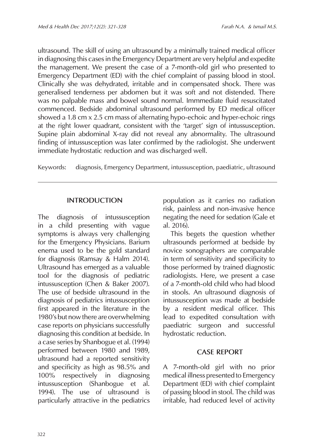ultrasound. The skill of using an ultrasound by a minimally trained medical officer in diagnosing this cases in the Emergency Department are very helpful and expedite the management. We present the case of a 7-month-old girl who presented to Emergency Department (ED) with the chief complaint of passing blood in stool. Clinically she was dehydrated, irritable and in compensated shock. There was generalised tenderness per abdomen but it was soft and not distended. There was no palpable mass and bowel sound normal. Immmediate fluid resuscitated commenced. Bedside abdominal ultrasound performed by ED medical officer showed a 1.8 cm x 2.5 cm mass of alternating hypo-echoic and hyper-echoic rings at the right lower quadrant, consistent with the 'target' sign of intussusception. Supine plain abdominal X-ray did not reveal any abnormality. The ultrasound finding of intussusception was later confirmed by the radiologist. She underwent immediate hydrostatic reduction and was discharged well.

Keywords: diagnosis, Emergency Department, intussusception, paediatric, ultrasound

# **INTRODUCTION**

The diagnosis of intussusception in a child presenting with vague symptoms is always very challenging for the Emergency Physicians. Barium enema used to be the gold standard for diagnosis (Ramsay & Halm 2014). Ultrasound has emerged as a valuable tool for the diagnosis of pediatric intussusception (Chen & Baker 2007). The use of bedside ultrasound in the diagnosis of pediatrics intussusception first appeared in the literature in the 1980's but now there are overwhelming case reports on physicians successfully diagnosing this condition at bedside. In a case series by Shanbogue et al. (1994) performed between 1980 and 1989, ultrasound had a reported sensitivity and specificity as high as 98.5% and 100% respectively in diagnosing intussusception (Shanbogue et al. 1994). The use of ultrasound is particularly attractive in the pediatrics population as it carries no radiation risk, painless and non-invasive hence negating the need for sedation (Gale et al. 2016).

This begets the question whether ultrasounds performed at bedside by novice sonographers are comparable in term of sensitivity and specificity to those performed by trained diagnostic radiologists. Here, we present a case of a 7-month-old child who had blood in stools. An ultrasound diagnosis of intussusception was made at bedside by a resident medical officer. This lead to expedited consultation with paediatric surgeon and successful hydrostatic reduction.

# **CASE REPORT**

A 7-month-old girl with no prior medical illness presented to Emergency Department (ED) with chief complaint of passing blood in stool. The child was irritable, had reduced level of activity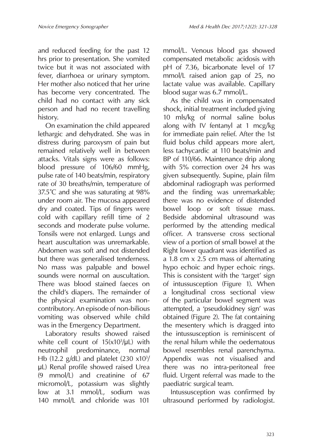and reduced feeding for the past 12 hrs prior to presentation. She vomited twice but it was not associated with fever, diarrhoea or urinary symptom. Her mother also noticed that her urine has become very concentrated. The child had no contact with any sick person and had no recent travelling history.

On examination the child appeared lethargic and dehydrated. She was in distress during paroxysm of pain but remained relatively well in between attacks. Vitals signs were as follows: blood pressure of 106/60 mmHg, pulse rate of 140 beats/min, respiratory rate of 30 breaths/min, temperature of 37.5°C and she was saturating at 98% under room air. The mucosa appeared dry and coated. Tips of fingers were cold with capillary refill time of 2 seconds and moderate pulse volume. Tonsils were not enlarged. Lungs and heart auscultation was unremarkable. Abdomen was soft and not distended but there was generalised tenderness. No mass was palpable and bowel sounds were normal on auscultation. There was blood stained faeces on the child's diapers. The remainder of the physical examination was noncontributory. An episode of non-bilious vomiting was observed while child was in the Emergency Department.

Laboratory results showed raised white cell count of 15(x103 /μL) with neutrophil predominance, normal Hb (12.2  $g/dL$ ) and platelet (230  $x10<sup>3</sup>/$ μL) Renal profile showed raised Urea (9 mmol/L) and creatinine of 67 micromol/L, potassium was slightly low at 3.1 mmol/L, sodium was 140 mmol/L and chloride was 101

mmol/L. Venous blood gas showed compensated metabolic acidosis with pH of 7.36, bicarbonate level of 17 mmol/L raised anion gap of 25, no lactate value was available. Capillary blood sugar was 6.7 mmol/L.

As the child was in compensated shock, initial treatment included giving 10 mls/kg of normal saline bolus along with IV fentanyl at 1 mcg/kg for immediate pain relief. After the 1st fluid bolus child appears more alert, less tachycardic at 110 beats/min and BP of 110/66. Maintenance drip along with 5% correction over 24 hrs was given subsequently. Supine, plain film abdominal radiograph was performed and the finding was unremarkable; there was no evidence of distended bowel loop or soft tissue mass. Bedside abdominal ultrasound was performed by the attending medical officer. A transverse cross sectional view of a portion of small bowel at the Right lower quadrant was identified as a 1.8 cm x 2.5 cm mass of alternating hypo echoic and hyper echoic rings. This is consistent with the 'target' sign of intussusception (Figure 1). When a longitudinal cross sectional view of the particular bowel segment was attempted, a 'pseudokidney sign' was obtained (Figure 2). The fat containing the mesentery which is dragged into the intussusception is reminiscent of the renal hilum while the oedematous bowel resembles renal parenchyma. Appendix was not visualised and there was no intra-peritoneal free fluid. Urgent referral was made to the paediatric surgical team.

Intussusception was confirmed by ultrasound performed by radiologist.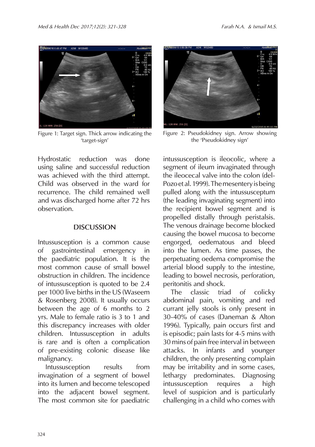

Figure 1: Target sign. Thick arrow indicating the 'target-sign'



Figure 2: Pseudokidney sign. Arrow showing the 'Pseudokidney sign'

Hydrostatic reduction was done using saline and successful reduction was achieved with the third attempt. Child was observed in the ward for recurrence. The child remained well and was discharged home after 72 hrs observation.

#### **DISCUSSION**

Intussusception is a common cause of gastrointestinal emergency in the paediatric population. It is the most common cause of small bowel obstruction in children. The incidence of intussusception is quoted to be 2.4 per 1000 live births in the US (Waseem & Rosenberg 2008). It usually occurs between the age of 6 months to 2 yrs. Male to female ratio is 3 to 1 and this discrepancy increases with older children. Intussusception in adults is rare and is often a complication of pre-existing colonic disease like malignancy.

Intussusception results from invagination of a segment of bowel into its lumen and become telescoped into the adjacent bowel segment. The most common site for paediatric

intussusception is ileocolic, where a segment of ileum invaginated through the ileocecal valve into the colon (del-Pozo et al. 1999). The mesentery is being pulled along with the intussusceptum (the leading invaginating segment) into the recipient bowel segment and is propelled distally through peristalsis. The venous drainage become blocked causing the bowel mucosa to become engorged, oedematous and bleed into the lumen. As time passes, the perpetuating oedema compromise the arterial blood supply to the intestine, leading to bowel necrosis, perforation, peritonitis and shock.

The classic triad of colicky abdominal pain, vomiting and red currant jelly stools is only present in 30-40% of cases (Daneman & Alton 1996). Typically, pain occurs first and is episodic; pain lasts for 4-5 mins with 30 mins of pain free interval in between attacks. In infants and younger children, the only presenting complain may be irritability and in some cases, lethargy predominates. Diagnosing intussusception requires a high level of suspicion and is particularly challenging in a child who comes with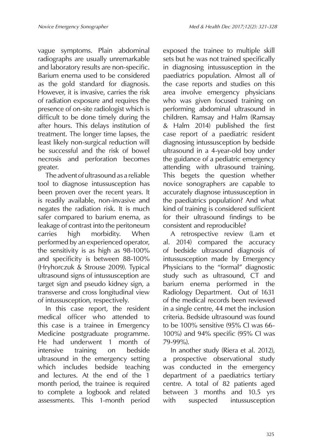vague symptoms. Plain abdominal radiographs are usually unremarkable and laboratory results are non-specific. Barium enema used to be considered as the gold standard for diagnosis. However, it is invasive, carries the risk of radiation exposure and requires the presence of on-site radiologist which is difficult to be done timely during the after hours. This delays institution of treatment. The longer time lapses, the least likely non-surgical reduction will be successful and the risk of bowel necrosis and perforation becomes greater.

The advent of ultrasound as a reliable tool to diagnose intussusception has been proven over the recent years. It is readily available, non-invasive and negates the radiation risk. It is much safer compared to barium enema, as leakage of contrast into the peritoneum carries high morbidity. When performed by an experienced operator, the sensitivity is as high as 98-100% and specificity is between 88-100% (Hryhorczuk & Strouse 2009). Typical ultrasound signs of intussusception are target sign and pseudo kidney sign, a transverse and cross longitudinal view of intussusception, respectively.

In this case report, the resident medical officer who attended to this case is a trainee in Emergency Medicine postgraduate programme. He had underwent 1 month of intensive training on bedside ultrasound in the emergency setting which includes bedside teaching and lectures. At the end of the 1 month period, the trainee is required to complete a logbook and related assessments. This 1-month period

exposed the trainee to multiple skill sets but he was not trained specifically in diagnosing intussusception in the paediatrics population. Almost all of the case reports and studies on this area involve emergency physicians who was given focused training on performing abdominal ultrasound in children. Ramsay and Halm (Ramsay & Halm 2014) published the first case report of a paediatric resident diagnosing intussusception by bedside ultrasound in a 4-year-old boy under the guidance of a pediatric emergency attending with ultrasound training. This begets the question whether novice sonographers are capable to accurately diagnose intussusception in the paediatrics population? And what kind of training is considered sufficient for their ultrasound findings to be consistent and reproducible?

A retrospective review (Lam et al. 2014) compared the accuracy of bedside ultrasound diagnosis of intussusception made by Emergency Physicians to the "formal" diagnostic study such as ultrasound, CT and barium enema performed in the Radiology Department. Out of 1631 of the medical records been reviewed in a single centre, 44 met the inclusion criteria. Bedside ultrasound was found to be 100% sensitive (95% CI was 66- 100%) and 94% specific (95% CI was 79-99%).

In another study (Riera et al. 2012), a prospective observational study was conducted in the emergency department of a paediatrics tertiary centre. A total of 82 patients aged between 3 months and 10.5 yrs with suspected intussusception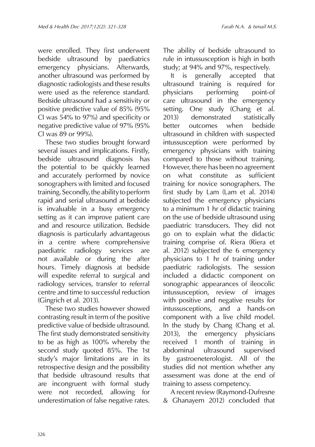were enrolled. They first underwent bedside ultrasound by paediatrics emergency physicians. Afterwards, another ultrasound was performed by diagnostic radiologists and these results were used as the reference standard. Bedside ultrasound had a sensitivity or positive predictive value of 85% (95% CI was 54% to 97%) and specificity or negative predictive value of 97% (95% CI was 89 or 99%).

These two studies brought forward several issues and implications. Firstly, bedside ultrasound diagnosis has the potential to be quickly learned and accurately performed by novice sonographers with limited and focused training. Secondly, the ability to perform rapid and serial ultrasound at bedside is invaluable in a busy emergency setting as it can improve patient care and and resource utilization. Bedside diagnosis is particularly advantageous in a centre where comprehensive paediatric radiology services are not available or during the after hours. Timely diagnosis at bedside will expedite referral to surgical and radiology services, transfer to referral centre and time to successful reduction (Gingrich et al. 2013).

These two studies however showed contrasting result in term of the positive predictive value of bedside ultrasound. The first study demonstrated sensitivity to be as high as 100% whereby the second study quoted 85%. The 1st study's major limitations are in its retrospective design and the possibility that bedside ultrasound results that are incongruent with formal study were not recorded, allowing for underestimation of false negative rates.

The ability of bedside ultrasound to rule in intussusception is high in both study; at 94% and 97%, respectively.

It is generally accepted that ultrasound training is required for physicians performing point-of care ultrasound in the emergency setting. One study (Chang et al. 2013) demonstrated statistically better outcomes when bedside ultrasound in children with suspected intussusception were performed by emergency physicians with training compared to those without training. However, there has been no agreement on what constitute as sufficient training for novice sonographers. The first study by Lam (Lam et al. 2014) subjected the emergency physicians to a minimum 1 hr of didactic training on the use of bedside ultrasound using paediatric transducers. They did not go on to explain what the didactic training comprise of. Riera (Riera et al. 2012) subjected the 6 emergency physicians to 1 hr of training under paediatric radiologists. The session included a didactic component on sonographic appearances of ileocolic intussusception, review of images with positive and negative results for intussusceptions, and a hands-on component with a live child model. In the study by Chang (Chang et al. 2013), the emergency physicians received 1 month of training in abdominal ultrasound supervised by gastroeneterologist. All of the studies did not mention whether any assessment was done at the end of training to assess competency.

A recent review (Raymond-Dufresne & Ghanayem 2012) concluded that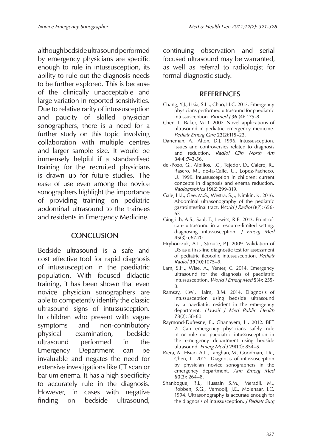although bedside ultrasound performed by emergency physicians are specific enough to rule in intussusception, its ability to rule out the diagnosis needs to be further explored. This is because of the clinically unacceptable and large variation in reported sensitivities. Due to relative rarity of intussusception and paucity of skilled physician sonographers, there is a need for a further study on this topic involving collaboration with multiple centres and larger sample size. It would be immensely helpful if a standardised training for the recruited physicians is drawn up for future studies. The ease of use even among the novice sonographers highlight the importance of providing training on pediatric abdominal ultrasound to the trainees and residents in Emergency Medicine.

### **CONCLUSION**

Bedside ultrasound is a safe and cost effective tool for rapid diagnosis of intussusception in the paediatric population. With focused didactic training, it has been shown that even novice physician sonographers are able to competently identify the classic ultrasound signs of intussusception. In children who present with vague symptoms and non-contributory physical examination, bedside ultrasound performed in the Emergency Department can be invaluable and negates the need for extensive investigations like CT scan or barium enema. It has a high specificity to accurately rule in the diagnosis. However, in cases with negative finding on bedside ultrasound,

continuing observation and serial focused ultrasound may be warranted, as well as referral to radiologist for formal diagnostic study.

# **REFERENCES**

- Chang, Y.J., Hsia, S.H., Chao, H.C. 2013. Emergency physicians performed ultrasound for paediatric intussusception. *Biomed J* **36** (4): 175-8.
- Chen, L, Baker, M.D. 2007. Novel applications of ultrasound in pediatric emergency medicine. *Pediatr Emerg Care* **23**(2):115–23.
- Daneman, A., Alton, D.J. 1996. Intussusception. Issues and controversies related to diagnosis and reduction. *Radiol Clin North Am*  **34**(4):743-56.
- del-Pozo, G., Albillos, J.C., Tejedor, D., Calero, R., Rasero, M., de-la-Calle, U., Lopez-Pacheco, U. 1999. Intussusception in children: current concepts in diagnosis and enema reduction. *Radiographics* **19**(2):299-319.
- Gale, H.I., Gee, M.S., Westra, S.J., Nimkin, K. 2016. Abdominal ultrasonography of the pediatric gastrointestinal tract. *World J Radiol* **8**(7): 656- 67.
- Gingrich, A.S., Saul, T., Lewiss, R.E. 2013. Point-ofcare ultrasound in a resource-limited setting: diagnosing intussusception. *J Emerg Med* **45**(3): e67-70.
- Hryhorczuk, A.L., Strouse, P.J. 2009. Validation of US as a first-line diagnostic test for assessment of pediatric ileocolic intussusception. *Pediatr Radiol* **39**(10):1075–9.
- Lam, S.H., Wise, A., Yenter, C. 2014. Emergency ultrasound for the diagnosis of paediatric intussusception. *World J Emerg Med* **5**(4): 255- 8.
- Ramsay, K.W., Halm, B.M. 2014. Diagnosis of intussusception using bedside ultrasound by a paediatric resident in the emergency department. *Hawaii J Med Public Health* **73**(2): 58-60.
- Raymond-Dufresne, E., Ghanayem, H. 2012. BET 2: Can emergency physicians safely rule in or rule out paediatric intussusception in the emergency department using bedside ultrasound. *Emerg Med J* **29**(10): 854–5.
- Riera, A., Hsiao, A.L., Langhan, M., Goodman, T.R., Chen, L. 2012. Diagnosis of intussusception by physician novice sonographers in the emergency department. *Ann Emerg Med* **60**(3): 264–8.
- Shanbogue, R.L, Hussain S.M., Meradji, M., Robben, S.G., Vernooij, J.E., Molenaar, J.C. 1994. Ultrasonography is accurate enough for the diagnosis of intussusception. *J Pediatr Surg*